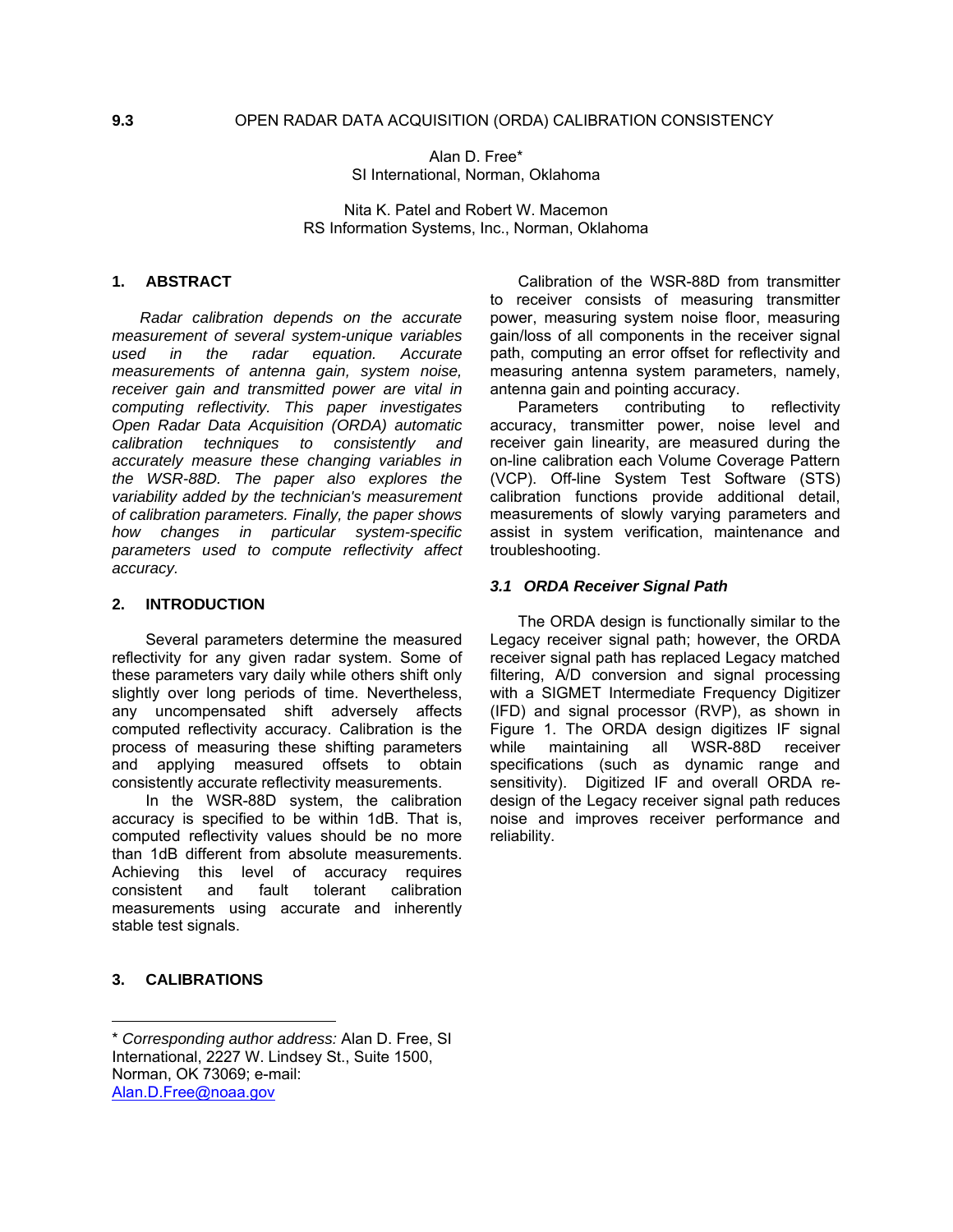Alan D. Free\* SI International, Norman, Oklahoma

Nita K. Patel and Robert W. Macemon RS Information Systems, Inc., Norman, Oklahoma

# **1. ABSTRACT**

*Radar calibration depends on the accurate measurement of several system-unique variables used in the radar equation. Accurate measurements of antenna gain, system noise, receiver gain and transmitted power are vital in computing reflectivity. This paper investigates Open Radar Data Acquisition (ORDA) automatic calibration techniques to consistently and accurately measure these changing variables in the WSR-88D. The paper also explores the variability added by the technician's measurement of calibration parameters. Finally, the paper shows how changes in particular system-specific parameters used to compute reflectivity affect accuracy.* 

#### **2. INTRODUCTION**

Several parameters determine the measured reflectivity for any given radar system. Some of these parameters vary daily while others shift only slightly over long periods of time. Nevertheless, any uncompensated shift adversely affects computed reflectivity accuracy. Calibration is the process of measuring these shifting parameters and applying measured offsets to obtain consistently accurate reflectivity measurements.

In the WSR-88D system, the calibration accuracy is specified to be within 1dB. That is, computed reflectivity values should be no more than 1dB different from absolute measurements. Achieving this level of accuracy requires consistent and fault tolerant calibration measurements using accurate and inherently stable test signals.

### **3. CALIBRATIONS**

 $\overline{a}$ 

Calibration of the WSR-88D from transmitter to receiver consists of measuring transmitter power, measuring system noise floor, measuring gain/loss of all components in the receiver signal path, computing an error offset for reflectivity and measuring antenna system parameters, namely, antenna gain and pointing accuracy.

Parameters contributing to reflectivity accuracy, transmitter power, noise level and receiver gain linearity, are measured during the on-line calibration each Volume Coverage Pattern (VCP). Off-line System Test Software (STS) calibration functions provide additional detail, measurements of slowly varying parameters and assist in system verification, maintenance and troubleshooting.

#### *3.1 ORDA Receiver Signal Path*

The ORDA design is functionally similar to the Legacy receiver signal path; however, the ORDA receiver signal path has replaced Legacy matched filtering, A/D conversion and signal processing with a SIGMET Intermediate Frequency Digitizer (IFD) and signal processor (RVP), as shown in Figure 1. The ORDA design digitizes IF signal while maintaining all WSR-88D receiver specifications (such as dynamic range and sensitivity). Digitized IF and overall ORDA redesign of the Legacy receiver signal path reduces noise and improves receiver performance and reliability.

<sup>\*</sup> *Corresponding author address:* Alan D. Free, SI International, 2227 W. Lindsey St., Suite 1500, Norman, OK 73069; e-mail: Alan.D.Free@noaa.gov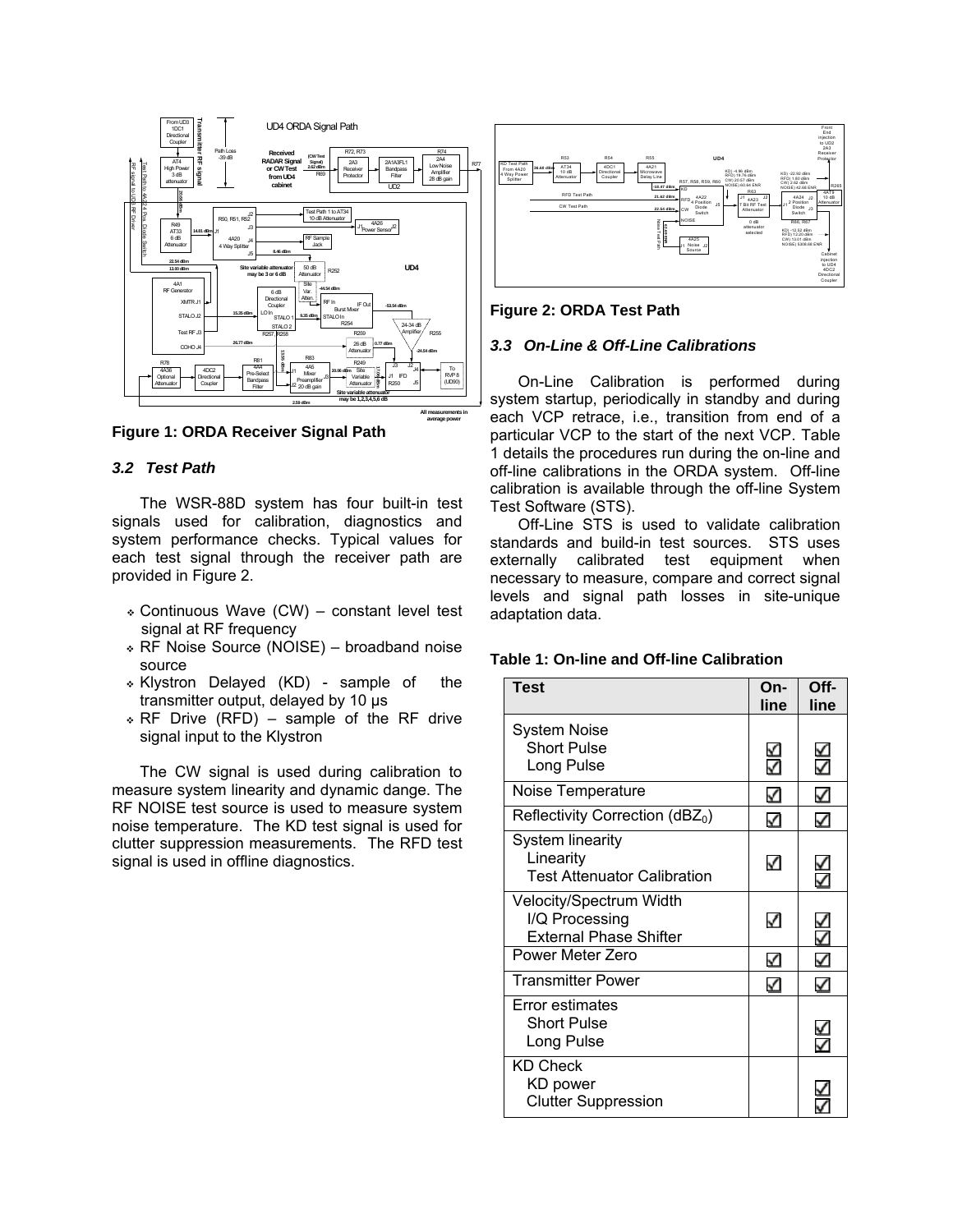

**Figure 1: ORDA Receiver Signal Path**

### *3.2 Test Path*

The WSR-88D system has four built-in test signals used for calibration, diagnostics and system performance checks. Typical values for each test signal through the receiver path are provided in Figure 2.

- Continuous Wave (CW) constant level test signal at RF frequency
- RF Noise Source (NOISE) broadband noise source
- Klystron Delayed (KD) sample of the transmitter output, delayed by 10 μs
- RF Drive (RFD) sample of the RF drive signal input to the Klystron

The CW signal is used during calibration to measure system linearity and dynamic dange. The RF NOISE test source is used to measure system noise temperature. The KD test signal is used for clutter suppression measurements. The RFD test signal is used in offline diagnostics.



**Figure 2: ORDA Test Path**

# *3.3 On-Line & Off-Line Calibrations*

On-Line Calibration is performed during system startup, periodically in standby and during each VCP retrace, i.e., transition from end of a particular VCP to the start of the next VCP. Table 1 details the procedures run during the on-line and off-line calibrations in the ORDA system. Off-line calibration is available through the off-line System Test Software (STS).

Off-Line STS is used to validate calibration standards and build-in test sources. STS uses externally calibrated test equipment when necessary to measure, compare and correct signal levels and signal path losses in site-unique adaptation data.

# **Table 1: On-line and Off-line Calibration**

| <b>Test</b>                                                                | On-<br>line | Off-<br>line                 |
|----------------------------------------------------------------------------|-------------|------------------------------|
| System Noise<br><b>Short Pulse</b><br>Long Pulse                           | ⊻<br>✓      | $\leq$                       |
| Noise Temperature                                                          | ✓           | ✓                            |
| Reflectivity Correction (dBZ <sub>0</sub> )                                | ✓           | ✓                            |
| <b>System linearity</b><br>Linearity<br><b>Test Attenuator Calibration</b> | ✓           | $\overset{\checkmark}{\leq}$ |
| Velocity/Spectrum Width<br>I/Q Processing<br><b>External Phase Shifter</b> | ✓           | $\overline{\leq}$            |
| Power Meter Zero                                                           | ⊻           | ✓                            |
| <b>Transmitter Power</b>                                                   | ✓           | ✓                            |
| <b>Error estimates</b><br><b>Short Pulse</b><br>Long Pulse                 |             | ✓                            |
| <b>KD Check</b><br>KD power<br><b>Clutter Suppression</b>                  |             |                              |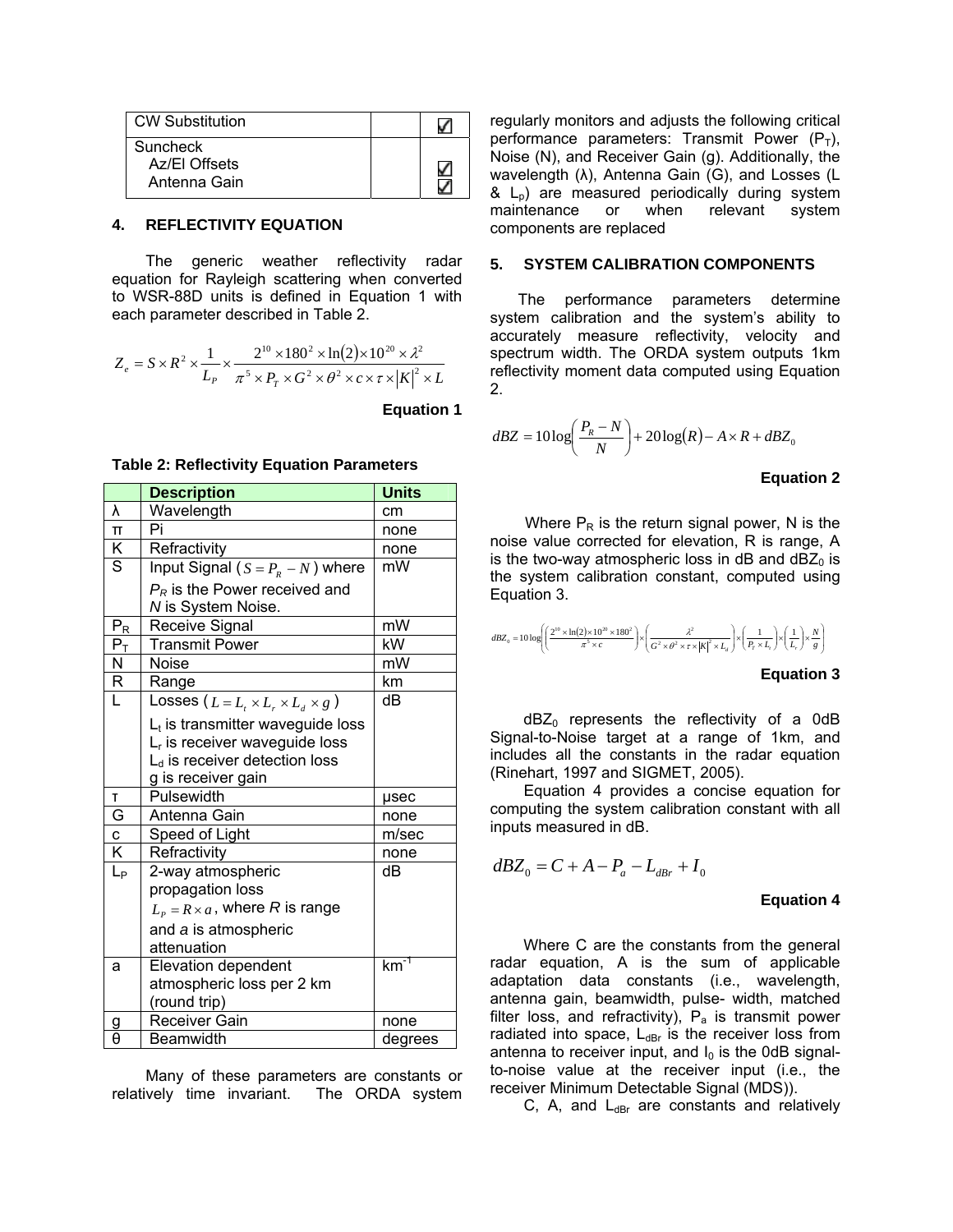| <b>CW Substitution</b>                           |  |
|--------------------------------------------------|--|
| <b>Suncheck</b><br>Az/El Offsets<br>Antenna Gain |  |

#### **4. REFLECTIVITY EQUATION**

The generic weather reflectivity radar equation for Rayleigh scattering when converted to WSR-88D units is defined in Equation 1 with each parameter described in Table 2.

$$
Z_e = S \times R^2 \times \frac{1}{L_P} \times \frac{2^{10} \times 180^2 \times \ln(2) \times 10^{20} \times \lambda^2}{\pi^5 \times P_T \times G^2 \times \theta^2 \times c \times \tau \times |K|^2 \times L}
$$

**Equation 1** 

**Table 2: Reflectivity Equation Parameters** 

|                         | <b>Description</b>                                    | <b>Units</b>    |
|-------------------------|-------------------------------------------------------|-----------------|
| λ                       | Wavelength                                            | cm              |
| $\Pi$                   | Pi                                                    | none            |
| $\overline{\mathsf{K}}$ | Refractivity                                          | none            |
| $\overline{s}$          | Input Signal ( $S = P_R - N$ ) where                  | mW              |
|                         | $P_R$ is the Power received and<br>N is System Noise. |                 |
| $P_R$                   | Receive Signal                                        | mW              |
| $P_T$                   | <b>Transmit Power</b>                                 | kW              |
| Ν                       | Noise                                                 | mW              |
| $\overline{R}$          | Range                                                 | km              |
| L                       | Losses ( $L = L_t \times L_r \times L_d \times g$ )   | dВ              |
|                         | $L_t$ is transmitter waveguide loss                   |                 |
|                         | $Lr$ is receiver waveguide loss                       |                 |
|                         | L <sub>d</sub> is receiver detection loss             |                 |
|                         | g is receiver gain                                    |                 |
| T                       | Pulsewidth                                            | µsec            |
| G                       | Antenna Gain                                          | none            |
| $\mathbf c$             | Speed of Light                                        | m/sec           |
| $\overline{\mathsf{K}}$ | Refractivity                                          | none            |
| $L_{P}$                 | 2-way atmospheric                                     | dB              |
|                         | propagation loss                                      |                 |
|                         | $L_p = R \times a$ , where R is range                 |                 |
|                         | and a is atmospheric                                  |                 |
|                         | attenuation                                           |                 |
| a                       | <b>Elevation dependent</b>                            | km <sup>7</sup> |
|                         | atmospheric loss per 2 km                             |                 |
|                         | (round trip)                                          |                 |
| $\frac{9}{\theta}$      | Receiver Gain                                         | none            |
|                         | <b>Beamwidth</b>                                      | degrees         |

Many of these parameters are constants or relatively time invariant. The ORDA system regularly monitors and adjusts the following critical performance parameters: Transmit Power  $(P_T)$ , Noise (N), and Receiver Gain (g). Additionally, the wavelength (λ), Antenna Gain (G), and Losses (L  $\&$  L<sub>p</sub>) are measured periodically during system maintenance or when relevant system components are replaced

### **5. SYSTEM CALIBRATION COMPONENTS**

The performance parameters determine system calibration and the system's ability to accurately measure reflectivity, velocity and spectrum width. The ORDA system outputs 1km reflectivity moment data computed using Equation 2.

$$
dBZ = 10\log\left(\frac{P_R - N}{N}\right) + 20\log(R) - A \times R + dBZ_0
$$

#### **Equation 2**

Where  $P_R$  is the return signal power, N is the noise value corrected for elevation, R is range, A is the two-way atmospheric loss in dB and  $dBZ<sub>0</sub>$  is the system calibration constant, computed using Equation 3.

$$
dBZ_0 = 10 \log \left( \left( \frac{2^{10} \times \ln(2) \times 10^{20} \times 180^2}{\pi^5 \times c} \right) \times \left( \frac{\lambda^2}{G^2 \times \theta^2 \times \tau \times |K|^2 \times L_d} \right) \times \left( \frac{1}{P_\tau \times L_t} \right) \times \left( \frac{1}{L_r} \right) \times \frac{N}{g} \right)
$$

#### **Equation 3**

 $dBZ<sub>0</sub>$  represents the reflectivity of a 0dB Signal-to-Noise target at a range of 1km, and includes all the constants in the radar equation (Rinehart, 1997 and SIGMET, 2005).

Equation 4 provides a concise equation for computing the system calibration constant with all inputs measured in dB.

$$
dBZ_0 = C + A - P_a - L_{dBr} + I_0
$$

### **Equation 4**

Where C are the constants from the general radar equation, A is the sum of applicable adaptation data constants (i.e., wavelength, antenna gain, beamwidth, pulse- width, matched filter loss, and refractivity),  $P_a$  is transmit power radiated into space,  $L_{dBf}$  is the receiver loss from antenna to receiver input, and  $I_0$  is the 0dB signalto-noise value at the receiver input (i.e., the receiver Minimum Detectable Signal (MDS)).

C, A, and  $L_{dBr}$  are constants and relatively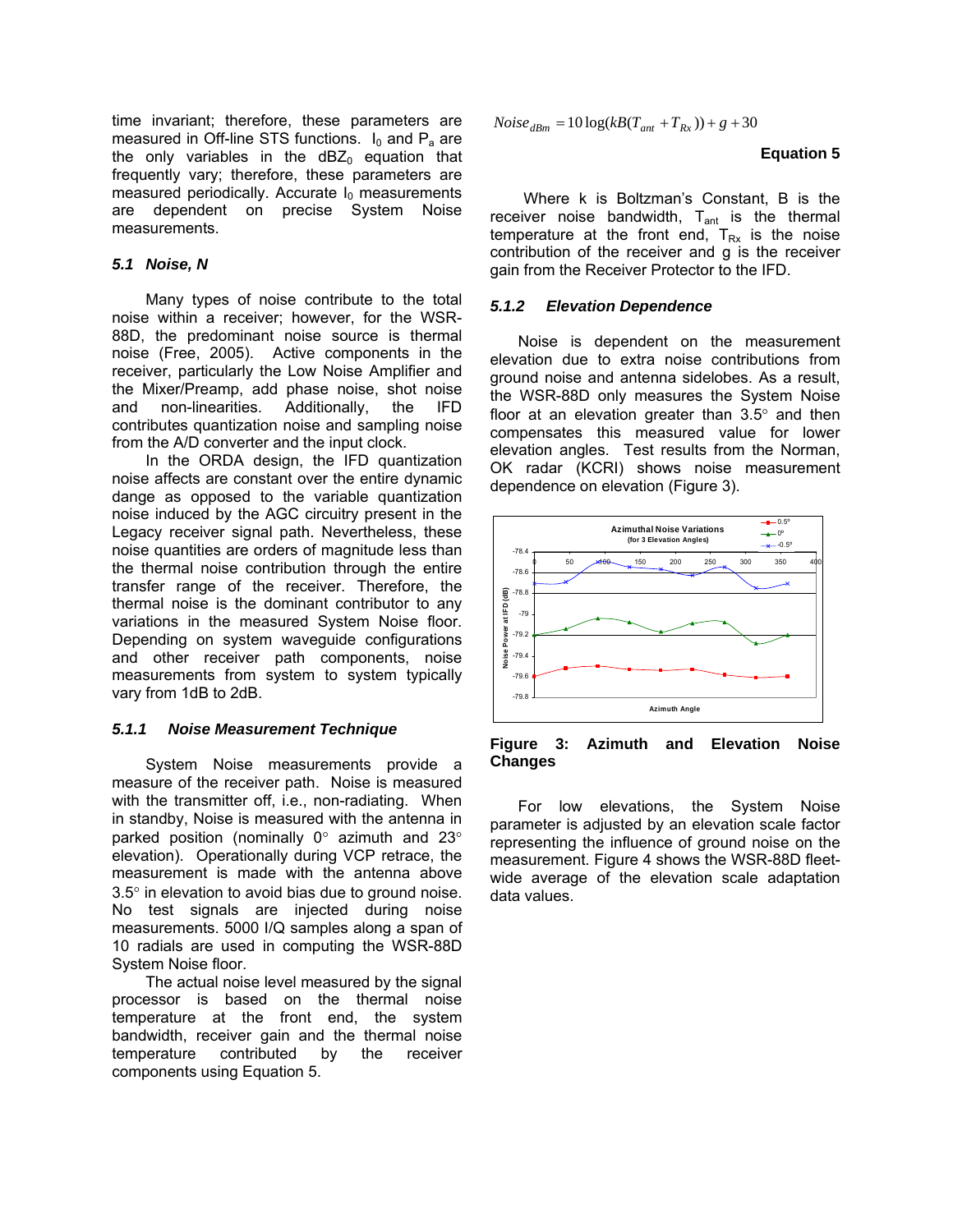time invariant; therefore, these parameters are measured in Off-line STS functions.  $I_0$  and  $P_a$  are the only variables in the  $dBZ_0$  equation that frequently vary; therefore, these parameters are measured periodically. Accurate  $I_0$  measurements are dependent on precise System Noise measurements.

# *5.1 Noise, N*

Many types of noise contribute to the total noise within a receiver; however, for the WSR-88D, the predominant noise source is thermal noise (Free, 2005). Active components in the receiver, particularly the Low Noise Amplifier and the Mixer/Preamp, add phase noise, shot noise and non-linearities. Additionally, the IFD contributes quantization noise and sampling noise from the A/D converter and the input clock.

In the ORDA design, the IFD quantization noise affects are constant over the entire dynamic dange as opposed to the variable quantization noise induced by the AGC circuitry present in the Legacy receiver signal path. Nevertheless, these noise quantities are orders of magnitude less than the thermal noise contribution through the entire transfer range of the receiver. Therefore, the thermal noise is the dominant contributor to any variations in the measured System Noise floor. Depending on system waveguide configurations and other receiver path components, noise measurements from system to system typically vary from 1dB to 2dB.

# *5.1.1 Noise Measurement Technique*

System Noise measurements provide a measure of the receiver path. Noise is measured with the transmitter off, i.e., non-radiating. When in standby, Noise is measured with the antenna in parked position (nominally 0° azimuth and 23° elevation). Operationally during VCP retrace, the measurement is made with the antenna above 3.5° in elevation to avoid bias due to ground noise. No test signals are injected during noise measurements. 5000 I/Q samples along a span of 10 radials are used in computing the WSR-88D System Noise floor.

The actual noise level measured by the signal processor is based on the thermal noise temperature at the front end, the system bandwidth, receiver gain and the thermal noise temperature contributed by the receiver components using Equation 5.

$$
Noise_{dBm} = 10\log(kB(T_{ant} + T_{Rx})) + g + 30
$$

### **Equation 5**

Where k is Boltzman's Constant, B is the receiver noise bandwidth,  $T_{\text{ant}}$  is the thermal temperature at the front end,  $T_{Rx}$  is the noise contribution of the receiver and g is the receiver gain from the Receiver Protector to the IFD.

# *5.1.2 Elevation Dependence*

Noise is dependent on the measurement elevation due to extra noise contributions from ground noise and antenna sidelobes. As a result, the WSR-88D only measures the System Noise floor at an elevation greater than  $3.5^\circ$  and then compensates this measured value for lower elevation angles. Test results from the Norman, OK radar (KCRI) shows noise measurement dependence on elevation (Figure 3).



**Figure 3: Azimuth and Elevation Noise Changes** 

For low elevations, the System Noise parameter is adjusted by an elevation scale factor representing the influence of ground noise on the measurement. Figure 4 shows the WSR-88D fleetwide average of the elevation scale adaptation data values.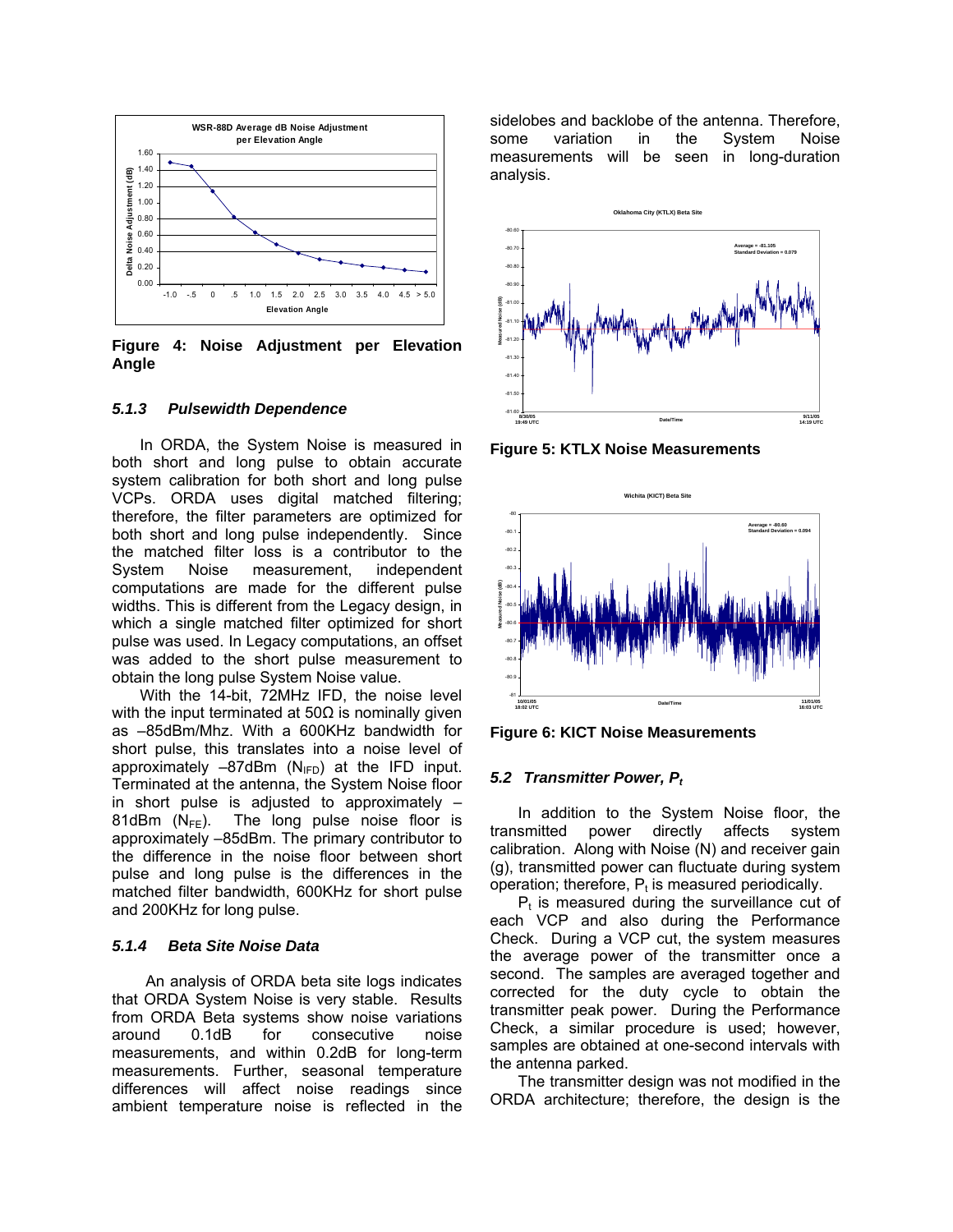

**Figure 4: Noise Adjustment per Elevation Angle** 

#### *5.1.3 Pulsewidth Dependence*

In ORDA, the System Noise is measured in both short and long pulse to obtain accurate system calibration for both short and long pulse VCPs. ORDA uses digital matched filtering; therefore, the filter parameters are optimized for both short and long pulse independently. Since the matched filter loss is a contributor to the System Noise measurement, independent computations are made for the different pulse widths. This is different from the Legacy design, in which a single matched filter optimized for short pulse was used. In Legacy computations, an offset was added to the short pulse measurement to obtain the long pulse System Noise value.

With the 14-bit, 72MHz IFD, the noise level with the input terminated at  $50\Omega$  is nominally given as –85dBm/Mhz. With a 600KHz bandwidth for short pulse, this translates into a noise level of approximately  $-87$ dBm (N<sub>IFD</sub>) at the IFD input. Terminated at the antenna, the System Noise floor in short pulse is adjusted to approximately – 81dBm  $(N_{FF})$ . The long pulse noise floor is approximately –85dBm. The primary contributor to the difference in the noise floor between short pulse and long pulse is the differences in the matched filter bandwidth, 600KHz for short pulse and 200KHz for long pulse.

### *5.1.4 Beta Site Noise Data*

An analysis of ORDA beta site logs indicates that ORDA System Noise is very stable. Results from ORDA Beta systems show noise variations around 0.1dB for consecutive noise measurements, and within 0.2dB for long-term measurements. Further, seasonal temperature differences will affect noise readings since ambient temperature noise is reflected in the

sidelobes and backlobe of the antenna. Therefore, some variation in the System Noise measurements will be seen in long-duration analysis.



**Figure 5: KTLX Noise Measurements** 



**Figure 6: KICT Noise Measurements** 

#### *5.2 Transmitter Power, Pt*

In addition to the System Noise floor, the transmitted power directly affects system power directly affects system calibration. Along with Noise (N) and receiver gain (g), transmitted power can fluctuate during system operation; therefore,  $P_t$  is measured periodically.

 $P<sub>t</sub>$  is measured during the surveillance cut of each VCP and also during the Performance Check. During a VCP cut, the system measures the average power of the transmitter once a second. The samples are averaged together and corrected for the duty cycle to obtain the transmitter peak power. During the Performance Check, a similar procedure is used; however, samples are obtained at one-second intervals with the antenna parked.

The transmitter design was not modified in the ORDA architecture; therefore, the design is the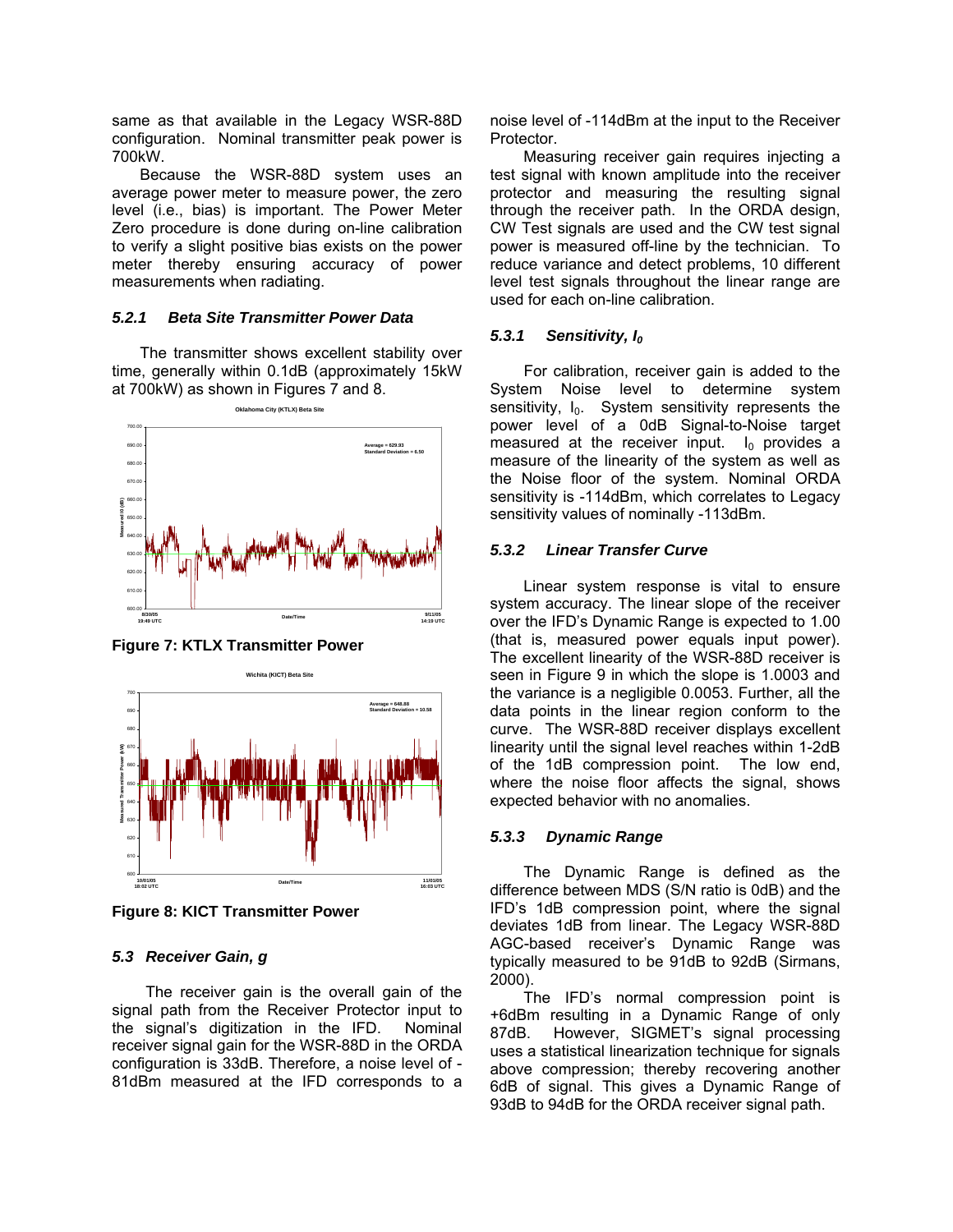same as that available in the Legacy WSR-88D configuration. Nominal transmitter peak power is 700kW.

Because the WSR-88D system uses an average power meter to measure power, the zero level (i.e., bias) is important. The Power Meter Zero procedure is done during on-line calibration to verify a slight positive bias exists on the power meter thereby ensuring accuracy of power measurements when radiating.

# *5.2.1 Beta Site Transmitter Power Data*

The transmitter shows excellent stability over time, generally within 0.1dB (approximately 15kW at 700kW) as shown in Figures 7 and 8.



**Figure 7: KTLX Transmitter Power** 



**Figure 8: KICT Transmitter Power** 

# *5.3 Receiver Gain, g*

The receiver gain is the overall gain of the signal path from the Receiver Protector input to the signal's digitization in the IFD. Nominal receiver signal gain for the WSR-88D in the ORDA configuration is 33dB. Therefore, a noise level of - 81dBm measured at the IFD corresponds to a noise level of -114dBm at the input to the Receiver Protector.

Measuring receiver gain requires injecting a test signal with known amplitude into the receiver protector and measuring the resulting signal through the receiver path. In the ORDA design, CW Test signals are used and the CW test signal power is measured off-line by the technician. To reduce variance and detect problems, 10 different level test signals throughout the linear range are used for each on-line calibration.

# 5.3.1 Sensitivity, I<sub>0</sub>

For calibration, receiver gain is added to the System Noise level to determine system sensitivity,  $I_0$ . System sensitivity represents the power level of a 0dB Signal-to-Noise target measured at the receiver input.  $I_0$  provides a measure of the linearity of the system as well as the Noise floor of the system. Nominal ORDA sensitivity is -114dBm, which correlates to Legacy sensitivity values of nominally -113dBm.

# *5.3.2 Linear Transfer Curve*

Linear system response is vital to ensure system accuracy. The linear slope of the receiver over the IFD's Dynamic Range is expected to 1.00 (that is, measured power equals input power). The excellent linearity of the WSR-88D receiver is seen in Figure 9 in which the slope is 1.0003 and the variance is a negligible 0.0053. Further, all the data points in the linear region conform to the curve. The WSR-88D receiver displays excellent linearity until the signal level reaches within 1-2dB of the 1dB compression point. The low end, where the noise floor affects the signal, shows expected behavior with no anomalies.

# *5.3.3 Dynamic Range*

The Dynamic Range is defined as the difference between MDS (S/N ratio is 0dB) and the IFD's 1dB compression point, where the signal deviates 1dB from linear. The Legacy WSR-88D AGC-based receiver's Dynamic Range was typically measured to be 91dB to 92dB (Sirmans, 2000).

The IFD's normal compression point is +6dBm resulting in a Dynamic Range of only 87dB. However, SIGMET's signal processing uses a statistical linearization technique for signals above compression; thereby recovering another 6dB of signal. This gives a Dynamic Range of 93dB to 94dB for the ORDA receiver signal path.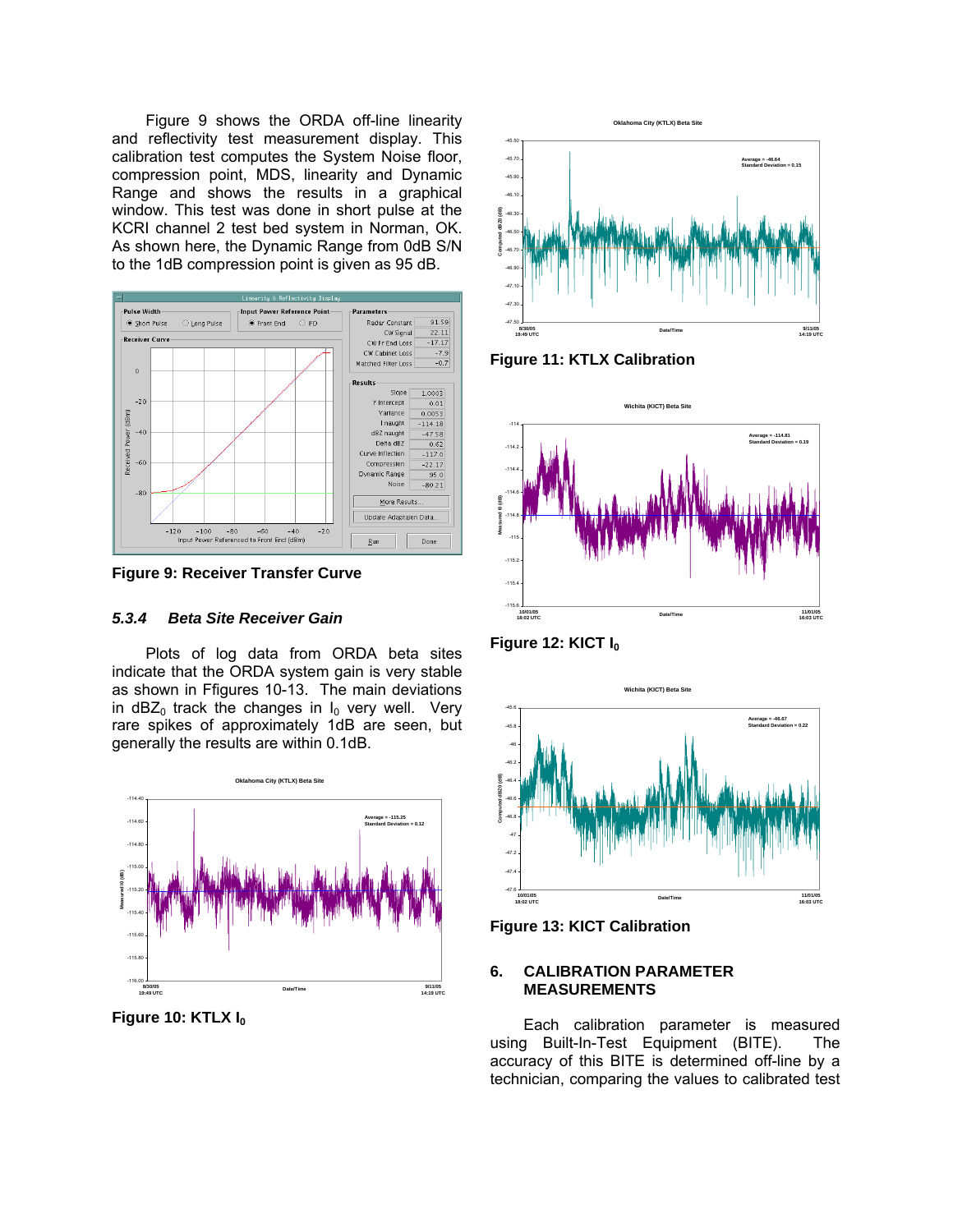Figure 9 shows the ORDA off-line linearity and reflectivity test measurement display. This calibration test computes the System Noise floor, compression point, MDS, linearity and Dynamic Range and shows the results in a graphical window. This test was done in short pulse at the KCRI channel 2 test bed system in Norman, OK. As shown here, the Dynamic Range from 0dB S/N to the 1dB compression point is given as 95 dB.



**Figure 9: Receiver Transfer Curve** 

# *5.3.4 Beta Site Receiver Gain*

Plots of log data from ORDA beta sites indicate that the ORDA system gain is very stable as shown in Ffigures 10-13. The main deviations in dBZ<sub>0</sub> track the changes in  $I_0$  very well. Very rare spikes of approximately 1dB are seen, but generally the results are within 0.1dB.



**Figure 10: KTLX I<sub>0</sub>** 



**Figure 11: KTLX Calibration** 



Figure 12: KICT I<sub>0</sub>



**Figure 13: KICT Calibration** 

# **6. CALIBRATION PARAMETER MEASUREMENTS**

Each calibration parameter is measured using Built-In-Test Equipment (BITE). The accuracy of this BITE is determined off-line by a technician, comparing the values to calibrated test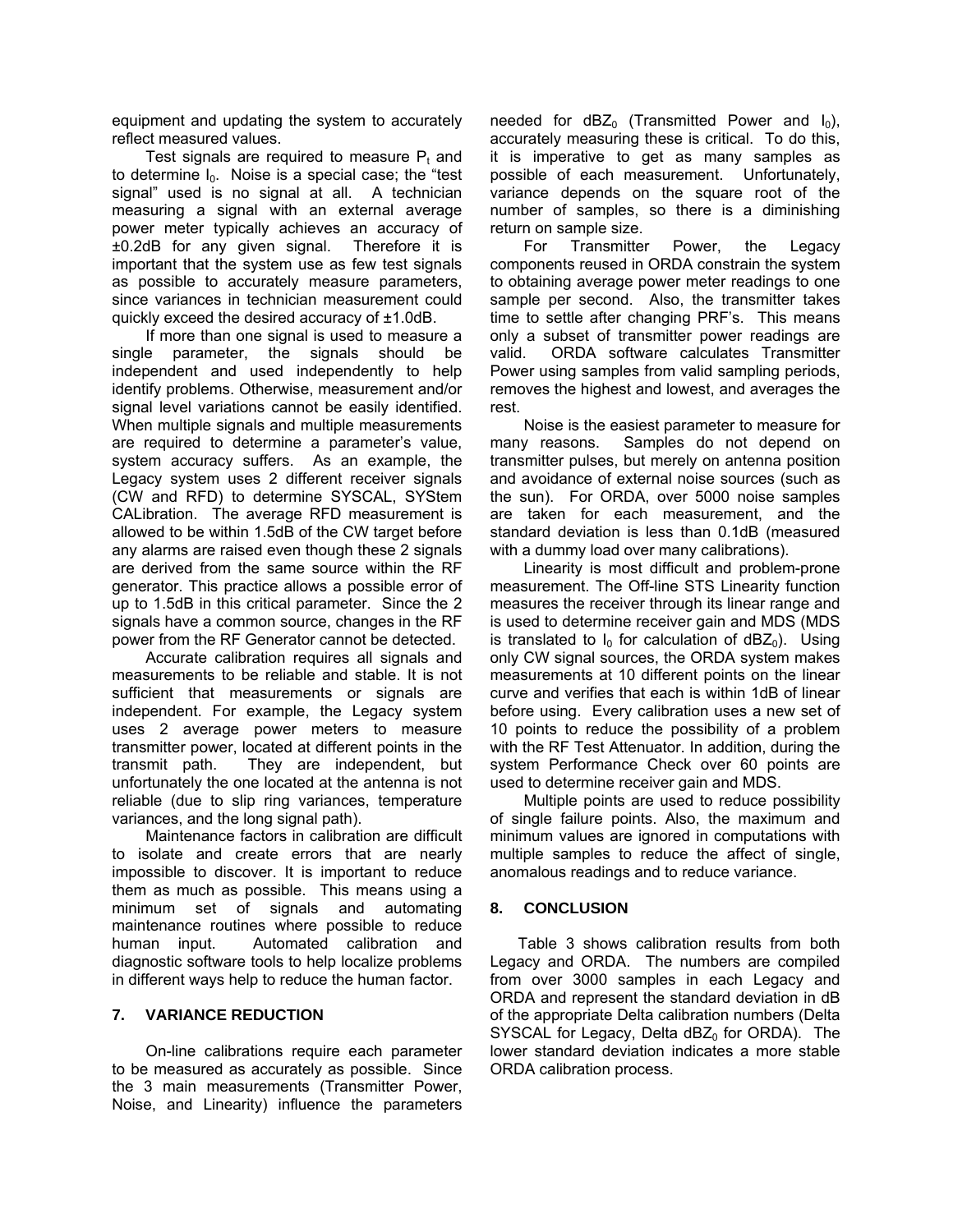equipment and updating the system to accurately reflect measured values.

Test signals are required to measure  $P_t$  and to determine  $I_0$ . Noise is a special case; the "test" signal" used is no signal at all. A technician measuring a signal with an external average power meter typically achieves an accuracy of ±0.2dB for any given signal. Therefore it is important that the system use as few test signals as possible to accurately measure parameters, since variances in technician measurement could quickly exceed the desired accuracy of ±1.0dB.

If more than one signal is used to measure a single parameter, the signals should be independent and used independently to help identify problems. Otherwise, measurement and/or signal level variations cannot be easily identified. When multiple signals and multiple measurements are required to determine a parameter's value, system accuracy suffers. As an example, the Legacy system uses 2 different receiver signals (CW and RFD) to determine SYSCAL, SYStem CALibration. The average RFD measurement is allowed to be within 1.5dB of the CW target before any alarms are raised even though these 2 signals are derived from the same source within the RF generator. This practice allows a possible error of up to 1.5dB in this critical parameter. Since the 2 signals have a common source, changes in the RF power from the RF Generator cannot be detected.

Accurate calibration requires all signals and measurements to be reliable and stable. It is not sufficient that measurements or signals are independent. For example, the Legacy system uses 2 average power meters to measure transmitter power, located at different points in the transmit path. They are independent, but unfortunately the one located at the antenna is not reliable (due to slip ring variances, temperature variances, and the long signal path).

Maintenance factors in calibration are difficult to isolate and create errors that are nearly impossible to discover. It is important to reduce them as much as possible. This means using a minimum set of signals and automating maintenance routines where possible to reduce human input. Automated calibration and diagnostic software tools to help localize problems in different ways help to reduce the human factor.

# **7. VARIANCE REDUCTION**

On-line calibrations require each parameter to be measured as accurately as possible. Since the 3 main measurements (Transmitter Power, Noise, and Linearity) influence the parameters needed for  $dBZ_0$  (Transmitted Power and  $I_0$ ), accurately measuring these is critical. To do this, it is imperative to get as many samples as possible of each measurement. Unfortunately, variance depends on the square root of the number of samples, so there is a diminishing return on sample size.

For Transmitter Power, the Legacy components reused in ORDA constrain the system to obtaining average power meter readings to one sample per second. Also, the transmitter takes time to settle after changing PRF's. This means only a subset of transmitter power readings are valid. ORDA software calculates Transmitter Power using samples from valid sampling periods, removes the highest and lowest, and averages the rest.

Noise is the easiest parameter to measure for many reasons. Samples do not depend on transmitter pulses, but merely on antenna position and avoidance of external noise sources (such as the sun). For ORDA, over 5000 noise samples are taken for each measurement, and the standard deviation is less than 0.1dB (measured with a dummy load over many calibrations).

Linearity is most difficult and problem-prone measurement. The Off-line STS Linearity function measures the receiver through its linear range and is used to determine receiver gain and MDS (MDS is translated to  $I_0$  for calculation of dBZ<sub>0</sub>). Using only CW signal sources, the ORDA system makes measurements at 10 different points on the linear curve and verifies that each is within 1dB of linear before using. Every calibration uses a new set of 10 points to reduce the possibility of a problem with the RF Test Attenuator. In addition, during the system Performance Check over 60 points are used to determine receiver gain and MDS.

Multiple points are used to reduce possibility of single failure points. Also, the maximum and minimum values are ignored in computations with multiple samples to reduce the affect of single, anomalous readings and to reduce variance.

# **8. CONCLUSION**

Table 3 shows calibration results from both Legacy and ORDA. The numbers are compiled from over 3000 samples in each Legacy and ORDA and represent the standard deviation in dB of the appropriate Delta calibration numbers (Delta SYSCAL for Legacy, Delta  $dBZ<sub>0</sub>$  for ORDA). The lower standard deviation indicates a more stable ORDA calibration process.